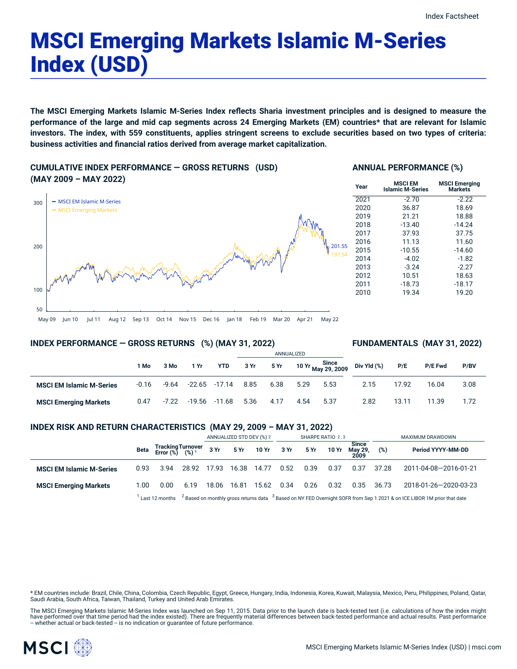# MSCI Emerging Markets Islamic M-Series Index (USD)

The MSCI Emerging Markets Islamic M-Series Index reflects Sharia investment principles and is designed to measure the performance of the large and mid cap segments across 24 Emerging Markets (EM) countries\* that are relevant for Islamic investors. The index, with 559 constituents, applies stringent screens to exclude securities based on two types of criteria: **business activities and financial ratios derived from average market capitalization.**

**CUMULATIVE INDEX PERFORMANCE — GROSS RETURNS (USD) (MAY 2009 – MAY 2022)**



#### **ANNUAL PERFORMANCE (%)**

| <b>MSCI EM</b><br><b>Islamic M-Series</b> | <b>MSCI Emeraina</b><br><b>Markets</b> |
|-------------------------------------------|----------------------------------------|
| $-2.70$                                   | $-2.22$                                |
| 36.87                                     | 18.69                                  |
| 21.21                                     | 18.88                                  |
| $-13.40$                                  | $-14.24$                               |
| 37.93                                     | 37.75                                  |
| 11.13                                     | 11.60                                  |
| $-10.55$                                  | $-14.60$                               |
| $-4.02$                                   | $-1.82$                                |
| $-3.24$                                   | $-2.27$                                |
| 10.51                                     | 18.63                                  |
| $-18.73$                                  | $-18.17$                               |
| 19.34                                     | 19.20                                  |
|                                           |                                        |

May 09 Jun 10 Jul 11 Aug 12 Sep 13 Oct 14 Nov 15 Dec 16 Jan 18 Feb 19 Mar 20 Apr 21 May 22

#### **INDEX PERFORMANCE — GROSS RETURNS (%) (MAY 31, 2022)**

#### **FUNDAMENTALS (MAY 31, 2022)**

|                                 |         |         |      |                 | ANNUALIZED |      |      |                             |             |       |                |      |
|---------------------------------|---------|---------|------|-----------------|------------|------|------|-----------------------------|-------------|-------|----------------|------|
|                                 | l Mo    | 3 Mo    | 1 Yr | <b>YTD</b>      | 3 Yr       | 5 Yr |      | 10 Yr Since<br>May 29, 2009 | Div Yld (%) | P/E   | <b>P/E Fwd</b> | P/BV |
| <b>MSCI EM Islamic M-Series</b> | $-0.16$ | -9.64   |      | $-22.65 -17.14$ | 8.85       | 6.38 | 5.29 | 5.53                        | 2.15        | 17.92 | 16.04          | 3.08 |
| <b>MSCI Emerging Markets</b>    | 0.47    | $-7.22$ |      | -19.56 -11.68   | 5.36       | 4.17 | 4.54 | 5.37                        | 2.82        | 13.11 | 11.39          | 1.72 |

#### **INDEX RISK AND RETURN CHARACTERISTICS (MAY 29, 2009 – MAY 31, 2022)**

|                                 |      |                                                                                                                                                          |                         | ANNUALIZED STD DEV (%) 2 |       | SHARPE RATIO 2,3          |      |      |       | MAXIMUM DRAWDOWN                |            |                       |
|---------------------------------|------|----------------------------------------------------------------------------------------------------------------------------------------------------------|-------------------------|--------------------------|-------|---------------------------|------|------|-------|---------------------------------|------------|-----------------------|
|                                 |      | Beta Tracking Turnover<br>Error $\binom{6}{6}$ $\binom{6}{2}$ <sup>1</sup>                                                                               |                         |                          |       | 3 Yr 5 Yr 10 Yr 3 Yr 5 Yr |      |      | 10 Yr | <b>Since</b><br>May 29,<br>2009 | (%)        | Period YYYY-MM-DD     |
| <b>MSCI EM Islamic M-Series</b> | 0.93 | 3.94                                                                                                                                                     | 28.92 17.93 16.38 14.77 |                          |       |                           | 0.52 | 0.39 | 0.37  |                                 | 0.37 37.28 | 2011-04-08-2016-01-21 |
| <b>MSCI Emerging Markets</b>    | 1.00 | 0.00                                                                                                                                                     | 6.19                    | 18.06                    | 16.81 | 15.62                     | 0.34 | 0.26 | 0.32  | 0.35 36.73                      |            | 2018-01-26-2020-03-23 |
|                                 |      | $^1$ Last 12 months $^{-2}$ Based on monthly gross returns data $^{-3}$ Based on NY FED Overnight SOFR from Sep 1 2021 & on ICE LIBOR 1M prior that date |                         |                          |       |                           |      |      |       |                                 |            |                       |

\* EM countries include: Brazil, Chile, China, Colombia, Czech Republic, Egypt, Greece, Hungary, India, Indonesia, Korea, Kuwait, Malaysia, Mexico, Peru, Philippines, Poland, Qatar, Saudi Arabia, South Africa, Taiwan, Thailand, Turkey and United Arab Emirates.

The MSCI Emerging Markets Islamic M-Series Index was launched on Sep 11, 2015. Data prior to the launch date is back-tested test (i.e. calculations of how the index might have performed over that time period had the index existed). There are frequently material differences between back-tested performance and actual results. Past performance<br>– whether actual or back-tested – is no indication

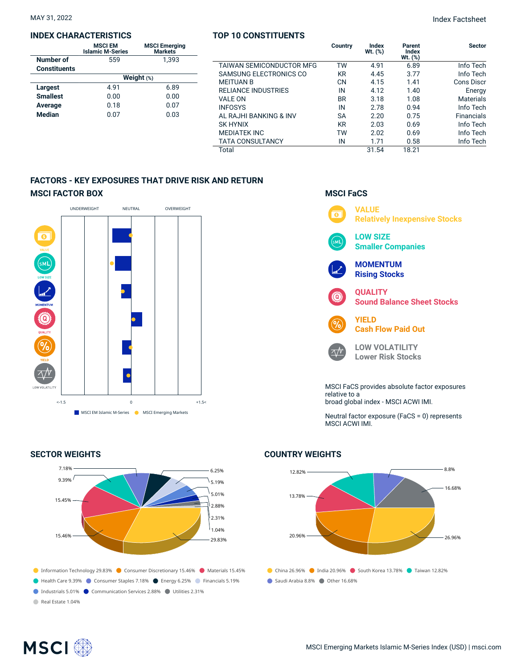#### **INDEX CHARACTERISTICS**

|                     | <b>MSCI EM</b><br><b>Islamic M-Series</b> | <b>MSCI Emerging</b><br>Markets |  |  |  |  |  |
|---------------------|-------------------------------------------|---------------------------------|--|--|--|--|--|
| Number of           | 559                                       | 1.393                           |  |  |  |  |  |
| <b>Constituents</b> |                                           |                                 |  |  |  |  |  |
|                     | Weight $(*)$                              |                                 |  |  |  |  |  |
| <b>Largest</b>      | 4.91                                      | 6.89                            |  |  |  |  |  |
| <b>Smallest</b>     | 0.00                                      | 0.00                            |  |  |  |  |  |
| Average             | 0.18                                      | 0.07                            |  |  |  |  |  |
| <b>Median</b>       | 0.07                                      | 0.03                            |  |  |  |  |  |

#### **TOP 10 CONSTITUENTS**

|                                 | Country   | Index<br>$Wt.$ $(\%)$ | Parent<br>Index<br>$Wt.$ $(\%)$ | <b>Sector</b>     |
|---------------------------------|-----------|-----------------------|---------------------------------|-------------------|
| <b>TAIWAN SEMICONDUCTOR MFG</b> | TW        | 4.91                  | 6.89                            | Info Tech         |
| SAMSUNG ELECTRONICS CO          | <b>KR</b> | 4.45                  | 3.77                            | Info Tech         |
| <b>MEITUAN B</b>                | <b>CN</b> | 4.15                  | 1.41                            | Cons Discr        |
| <b>RELIANCE INDUSTRIES</b>      | IN        | 4.12                  | 1.40                            | Energy            |
| <b>VALE ON</b>                  | <b>BR</b> | 3.18                  | 1.08                            | <b>Materials</b>  |
| <b>INFOSYS</b>                  | IN        | 2.78                  | 0.94                            | Info Tech         |
| AL RAJHI BANKING & INV          | SА        | 2.20                  | 0.75                            | <b>Financials</b> |
| <b>SK HYNIX</b>                 | <b>KR</b> | 2.03                  | 0.69                            | Info Tech         |
| <b>MEDIATEK INC</b>             | TW        | 2.02                  | 0.69                            | Info Tech         |
| <b>TATA CONSULTANCY</b>         | IN        | 1.71                  | 0.58                            | Info Tech         |
| Total                           |           | 31.54                 | 18.21                           |                   |

### **FACTORS - KEY EXPOSURES THAT DRIVE RISK AND RETURN MSCI FACTOR BOX**



#### **SECTOR WEIGHTS**



## **MSCI FaCS**



Neutral factor exposure (FaCS = 0) represents MSCI ACWI IMI.

#### **COUNTRY WEIGHTS**



# **MSCI**<sup></sup>